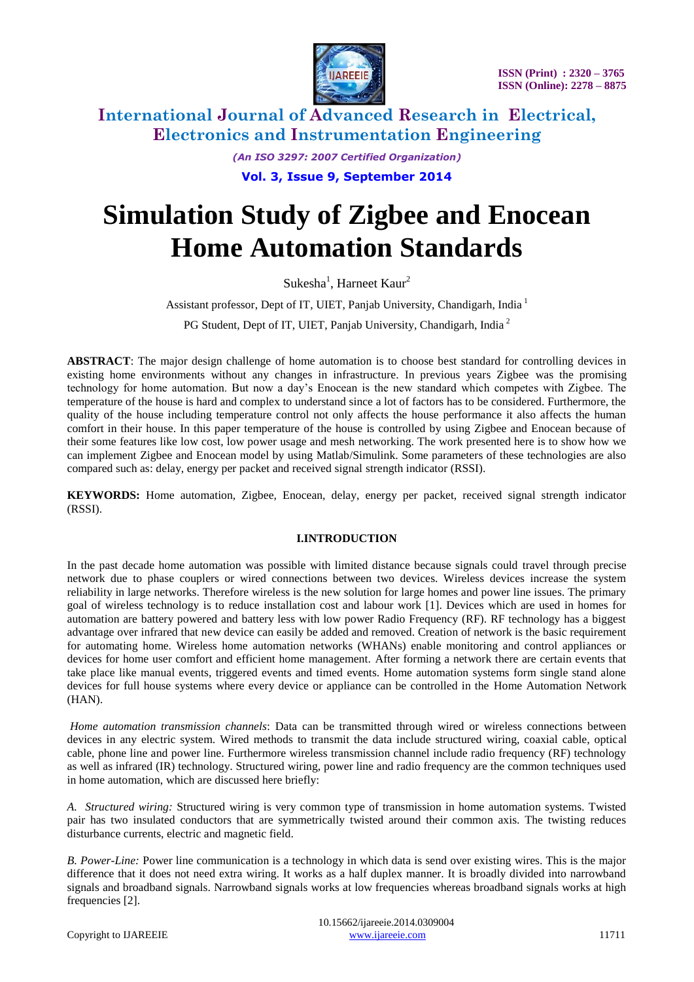

> *(An ISO 3297: 2007 Certified Organization)* **Vol. 3, Issue 9, September 2014**

# **Simulation Study of Zigbee and Enocean Home Automation Standards**

Sukesha<sup>1</sup>, Harneet Kaur<sup>2</sup>

Assistant professor, Dept of IT, UIET, Panjab University, Chandigarh, India  $^1$ 

PG Student, Dept of IT, UIET, Panjab University, Chandigarh, India<sup>2</sup>

**ABSTRACT**: The major design challenge of home automation is to choose best standard for controlling devices in existing home environments without any changes in infrastructure. In previous years Zigbee was the promising technology for home automation. But now a day's Enocean is the new standard which competes with Zigbee. The temperature of the house is hard and complex to understand since a lot of factors has to be considered. Furthermore, the quality of the house including temperature control not only affects the house performance it also affects the human comfort in their house. In this paper temperature of the house is controlled by using Zigbee and Enocean because of their some features like low cost, low power usage and mesh networking. The work presented here is to show how we can implement Zigbee and Enocean model by using Matlab/Simulink. Some parameters of these technologies are also compared such as: delay, energy per packet and received signal strength indicator (RSSI).

**KEYWORDS:** Home automation, Zigbee, Enocean, delay, energy per packet, received signal strength indicator (RSSI).

#### **I.INTRODUCTION**

In the past decade home automation was possible with limited distance because signals could travel through precise network due to phase couplers or wired connections between two devices. Wireless devices increase the system reliability in large networks. Therefore wireless is the new solution for large homes and power line issues. The primary goal of wireless technology is to reduce installation cost and labour work [1]. Devices which are used in homes for automation are battery powered and battery less with low power Radio Frequency (RF). RF technology has a biggest advantage over infrared that new device can easily be added and removed. Creation of network is the basic requirement for automating home. Wireless home automation networks (WHANs) enable monitoring and control appliances or devices for home user comfort and efficient home management. After forming a network there are certain events that take place like manual events, triggered events and timed events. Home automation systems form single stand alone devices for full house systems where every device or appliance can be controlled in the Home Automation Network (HAN).

*Home automation transmission channels*: Data can be transmitted through wired or wireless connections between devices in any electric system. Wired methods to transmit the data include structured wiring, coaxial cable, optical cable, phone line and power line. Furthermore wireless transmission channel include radio frequency (RF) technology as well as infrared (IR) technology. Structured wiring, power line and radio frequency are the common techniques used in home automation, which are discussed here briefly:

*A. Structured wiring:* Structured wiring is very common type of transmission in home automation systems. Twisted pair has two insulated conductors that are symmetrically twisted around their common axis. The twisting reduces disturbance currents, electric and magnetic field.

*B. Power-Line:* Power line communication is a technology in which data is send over existing wires. This is the major difference that it does not need extra wiring. It works as a half duplex manner. It is broadly divided into narrowband signals and broadband signals. Narrowband signals works at low frequencies whereas broadband signals works at high frequencies [2].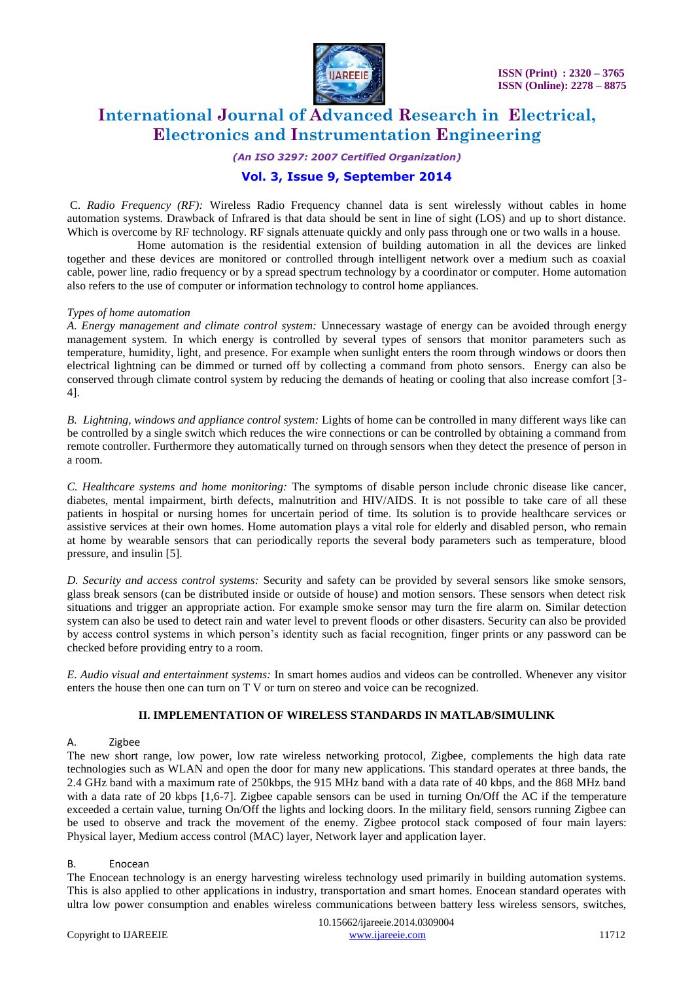

*(An ISO 3297: 2007 Certified Organization)*

### **Vol. 3, Issue 9, September 2014**

C. *Radio Frequency (RF):* Wireless Radio Frequency channel data is sent wirelessly without cables in home automation systems. Drawback of Infrared is that data should be sent in line of sight (LOS) and up to short distance. Which is overcome by RF technology. RF signals attenuate quickly and only pass through one or two walls in a house.

 Home automation is the residential extension of building automation in all the devices are linked together and these devices are monitored or controlled through intelligent network over a medium such as coaxial cable, power line, radio frequency or by a spread spectrum technology by a coordinator or computer. Home automation also refers to the use of computer or information technology to control home appliances.

#### *Types of home automation*

*A. Energy management and climate control system:* Unnecessary wastage of energy can be avoided through energy management system. In which energy is controlled by several types of sensors that monitor parameters such as temperature, humidity, light, and presence. For example when sunlight enters the room through windows or doors then electrical lightning can be dimmed or turned off by collecting a command from photo sensors. Energy can also be conserved through climate control system by reducing the demands of heating or cooling that also increase comfort [3- 4].

*B. Lightning, windows and appliance control system:* Lights of home can be controlled in many different ways like can be controlled by a single switch which reduces the wire connections or can be controlled by obtaining a command from remote controller. Furthermore they automatically turned on through sensors when they detect the presence of person in a room.

*C. Healthcare systems and home monitoring:* The symptoms of disable person include chronic disease like cancer, diabetes, mental impairment, birth defects, malnutrition and HIV/AIDS. It is not possible to take care of all these patients in hospital or nursing homes for uncertain period of time. Its solution is to provide healthcare services or assistive services at their own homes. Home automation plays a vital role for elderly and disabled person, who remain at home by wearable sensors that can periodically reports the several body parameters such as temperature, blood pressure, and insulin [5].

*D. Security and access control systems:* Security and safety can be provided by several sensors like smoke sensors, glass break sensors (can be distributed inside or outside of house) and motion sensors. These sensors when detect risk situations and trigger an appropriate action. For example smoke sensor may turn the fire alarm on. Similar detection system can also be used to detect rain and water level to prevent floods or other disasters. Security can also be provided by access control systems in which person's identity such as facial recognition, finger prints or any password can be checked before providing entry to a room.

*E. Audio visual and entertainment systems:* In smart homes audios and videos can be controlled. Whenever any visitor enters the house then one can turn on T V or turn on stereo and voice can be recognized.

#### **II. IMPLEMENTATION OF WIRELESS STANDARDS IN MATLAB/SIMULINK**

#### A. Zigbee

The new short range, low power, low rate wireless networking protocol, Zigbee, complements the high data rate technologies such as WLAN and open the door for many new applications. This standard operates at three bands, the 2.4 GHz band with a maximum rate of 250kbps, the 915 MHz band with a data rate of 40 kbps, and the 868 MHz band with a data rate of 20 kbps [1,6-7]. Zigbee capable sensors can be used in turning On/Off the AC if the temperature exceeded a certain value, turning On/Off the lights and locking doors. In the military field, sensors running Zigbee can be used to observe and track the movement of the enemy. Zigbee protocol stack composed of four main layers: Physical layer, Medium access control (MAC) layer, Network layer and application layer.

#### B. Enocean

The Enocean technology is an energy harvesting wireless technology used primarily in building automation systems. This is also applied to other applications in industry, transportation and smart homes. Enocean standard operates with ultra low power consumption and enables wireless communications between battery less wireless sensors, switches,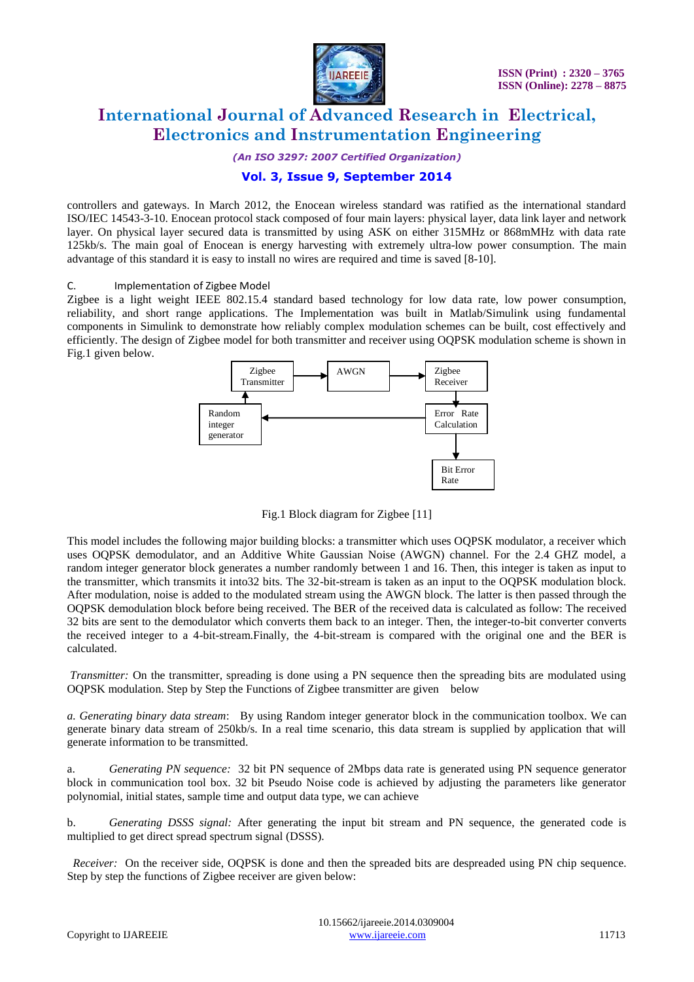

*(An ISO 3297: 2007 Certified Organization)*

### **Vol. 3, Issue 9, September 2014**

controllers and gateways. In March 2012, the Enocean wireless standard was ratified as the international standard ISO/IEC 14543-3-10. Enocean protocol stack composed of four main layers: physical layer, data link layer and network layer. On physical layer secured data is transmitted by using ASK on either 315MHz or 868mMHz with data rate 125kb/s. The main goal of Enocean is energy harvesting with extremely ultra-low power consumption. The main advantage of this standard it is easy to install no wires are required and time is saved [8-10].

#### C. Implementation of Zigbee Model

Zigbee is a light weight IEEE 802.15.4 standard based technology for low data rate, low power consumption, reliability, and short range applications. The Implementation was built in Matlab/Simulink using fundamental components in Simulink to demonstrate how reliably complex modulation schemes can be built, cost effectively and efficiently. The design of Zigbee model for both transmitter and receiver using OQPSK modulation scheme is shown in Fig.1 given below.



Fig.1 Block diagram for Zigbee [11]

This model includes the following major building blocks: a transmitter which uses OQPSK modulator, a receiver which uses OQPSK demodulator, and an Additive White Gaussian Noise (AWGN) channel. For the 2.4 GHZ model, a random integer generator block generates a number randomly between 1 and 16. Then, this integer is taken as input to the transmitter, which transmits it into32 bits. The 32-bit-stream is taken as an input to the OQPSK modulation block. After modulation, noise is added to the modulated stream using the AWGN block. The latter is then passed through the OQPSK demodulation block before being received. The BER of the received data is calculated as follow: The received 32 bits are sent to the demodulator which converts them back to an integer. Then, the integer-to-bit converter converts the received integer to a 4-bit-stream.Finally, the 4-bit-stream is compared with the original one and the BER is calculated.

*Transmitter:* On the transmitter, spreading is done using a PN sequence then the spreading bits are modulated using OQPSK modulation. Step by Step the Functions of Zigbee transmitter are given below

*a. Generating binary data stream*: By using Random integer generator block in the communication toolbox. We can generate binary data stream of 250kb/s. In a real time scenario, this data stream is supplied by application that will generate information to be transmitted.

a. *Generating PN sequence:* 32 bit PN sequence of 2Mbps data rate is generated using PN sequence generator block in communication tool box. 32 bit Pseudo Noise code is achieved by adjusting the parameters like generator polynomial, initial states, sample time and output data type, we can achieve

b. *Generating DSSS signal:* After generating the input bit stream and PN sequence, the generated code is multiplied to get direct spread spectrum signal (DSSS).

*Receiver:* On the receiver side, OQPSK is done and then the spreaded bits are despreaded using PN chip sequence. Step by step the functions of Zigbee receiver are given below: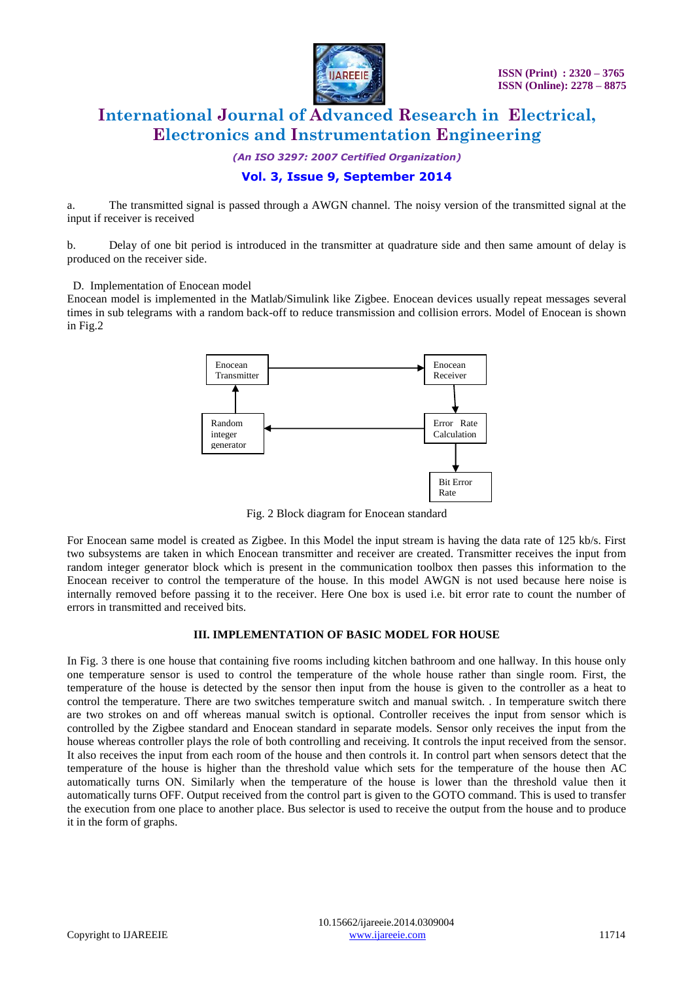

*(An ISO 3297: 2007 Certified Organization)*

### **Vol. 3, Issue 9, September 2014**

a. The transmitted signal is passed through a AWGN channel. The noisy version of the transmitted signal at the input if receiver is received

b. Delay of one bit period is introduced in the transmitter at quadrature side and then same amount of delay is produced on the receiver side.

D. Implementation of Enocean model

Enocean model is implemented in the Matlab/Simulink like Zigbee. Enocean devices usually repeat messages several times in sub telegrams with a random back-off to reduce transmission and collision errors. Model of Enocean is shown in Fig.2



Fig. 2 Block diagram for Enocean standard

For Enocean same model is created as Zigbee. In this Model the input stream is having the data rate of 125 kb/s. First two subsystems are taken in which Enocean transmitter and receiver are created. Transmitter receives the input from random integer generator block which is present in the communication toolbox then passes this information to the Enocean receiver to control the temperature of the house. In this model AWGN is not used because here noise is internally removed before passing it to the receiver. Here One box is used i.e. bit error rate to count the number of errors in transmitted and received bits.

#### **III. IMPLEMENTATION OF BASIC MODEL FOR HOUSE**

In Fig. 3 there is one house that containing five rooms including kitchen bathroom and one hallway. In this house only one temperature sensor is used to control the temperature of the whole house rather than single room. First, the temperature of the house is detected by the sensor then input from the house is given to the controller as a heat to control the temperature. There are two switches temperature switch and manual switch. . In temperature switch there are two strokes on and off whereas manual switch is optional. Controller receives the input from sensor which is controlled by the Zigbee standard and Enocean standard in separate models. Sensor only receives the input from the house whereas controller plays the role of both controlling and receiving. It controls the input received from the sensor. It also receives the input from each room of the house and then controls it. In control part when sensors detect that the temperature of the house is higher than the threshold value which sets for the temperature of the house then AC automatically turns ON. Similarly when the temperature of the house is lower than the threshold value then it automatically turns OFF. Output received from the control part is given to the GOTO command. This is used to transfer the execution from one place to another place. Bus selector is used to receive the output from the house and to produce it in the form of graphs.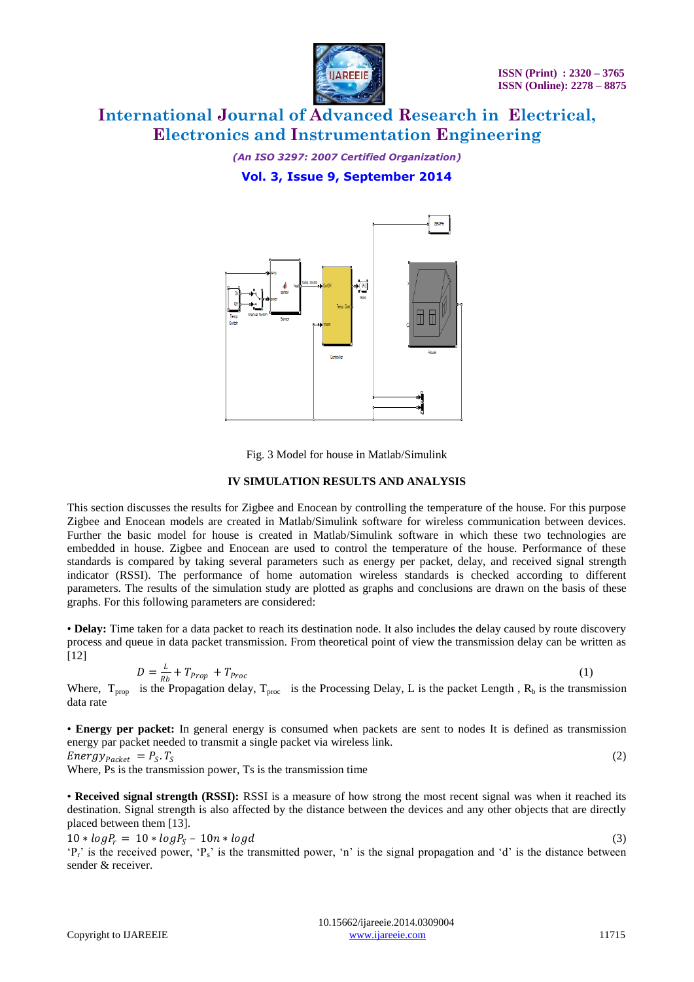

*(An ISO 3297: 2007 Certified Organization)*

**Vol. 3, Issue 9, September 2014**



Fig. 3 Model for house in Matlab/Simulink

#### **IV SIMULATION RESULTS AND ANALYSIS**

This section discusses the results for Zigbee and Enocean by controlling the temperature of the house. For this purpose Zigbee and Enocean models are created in Matlab/Simulink software for wireless communication between devices. Further the basic model for house is created in Matlab/Simulink software in which these two technologies are embedded in house. Zigbee and Enocean are used to control the temperature of the house. Performance of these standards is compared by taking several parameters such as energy per packet, delay, and received signal strength indicator (RSSI). The performance of home automation wireless standards is checked according to different parameters. The results of the simulation study are plotted as graphs and conclusions are drawn on the basis of these graphs. For this following parameters are considered:

• **Delay:** Time taken for a data packet to reach its destination node. It also includes the delay caused by route discovery process and queue in data packet transmission. From theoretical point of view the transmission delay can be written as [12]

$$
D = \frac{L}{Rb} + T_{Prop} + T_{Proc} \tag{1}
$$

Where,  $T_{\text{prop}}$  is the Propagation delay,  $T_{\text{proc}}$  is the Processing Delay, L is the packet Length ,  $R_b$  is the transmission data rate

• **Energy per packet:** In general energy is consumed when packets are sent to nodes It is defined as transmission energy par packet needed to transmit a single packet via wireless link. (2)

 $Energy_{Packet}$  =  $P_S$ . T<sub>S</sub>

Where, Ps is the transmission power, Ts is the transmission time

• **Received signal strength (RSSI):** RSSI is a measure of how strong the most recent signal was when it reached its destination. Signal strength is also affected by the distance between the devices and any other objects that are directly placed between them [13].

 $10 * log P_r = 10 * log P_S - 10 n * log d$  (3)  ${}^{4}P_{r}$  is the received power,  ${}^{4}P_{s}$  is the transmitted power, 'n' is the signal propagation and 'd' is the distance between sender & receiver.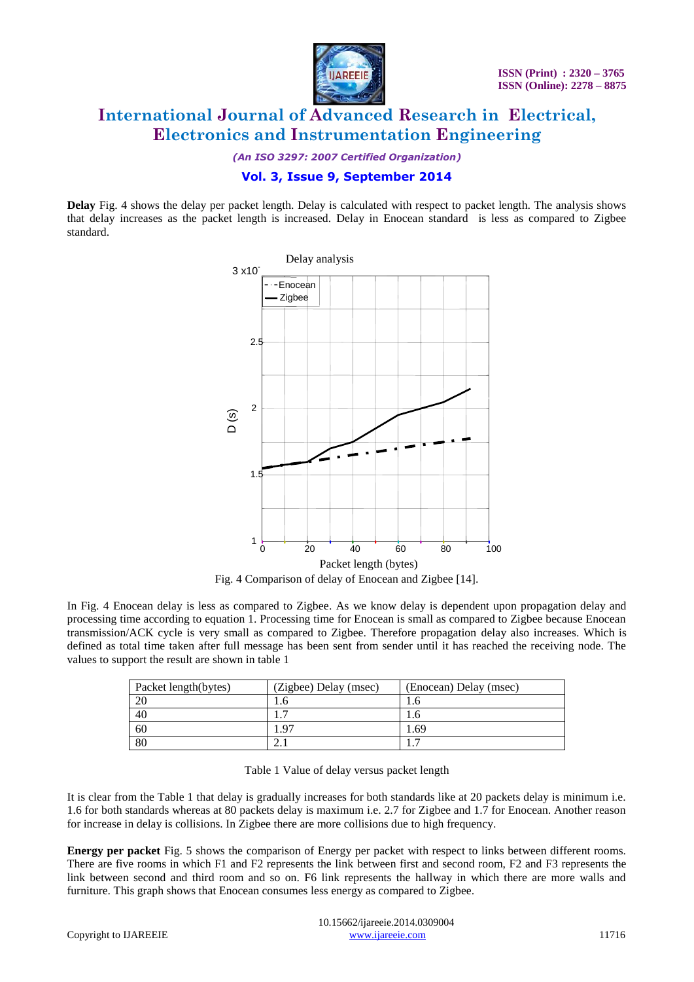![](_page_5_Picture_0.jpeg)

*(An ISO 3297: 2007 Certified Organization)*

### **Vol. 3, Issue 9, September 2014**

**Delay** Fig. 4 shows the delay per packet length. Delay is calculated with respect to packet length. The analysis shows that delay increases as the packet length is increased. Delay in Enocean standard is less as compared to Zigbee standard.

![](_page_5_Figure_6.jpeg)

In Fig. 4 Enocean delay is less as compared to Zigbee. As we know delay is dependent upon propagation delay and processing time according to equation 1. Processing time for Enocean is small as compared to Zigbee because Enocean transmission/ACK cycle is very small as compared to Zigbee. Therefore propagation delay also increases. Which is defined as total time taken after full message has been sent from sender until it has reached the receiving node. The

| Packet length(bytes) | (Zigbee) Delay (msec) | (Enocean) Delay (msec) |
|----------------------|-----------------------|------------------------|
| 20                   | 1.0                   |                        |
| 40                   |                       |                        |
| 60                   | .97                   | . .69                  |
| 80                   |                       |                        |

| Table 1 Value of delay versus packet length |  |  |  |  |  |  |
|---------------------------------------------|--|--|--|--|--|--|
|---------------------------------------------|--|--|--|--|--|--|

It is clear from the Table 1 that delay is gradually increases for both standards like at 20 packets delay is minimum i.e. 1.6 for both standards whereas at 80 packets delay is maximum i.e. 2.7 for Zigbee and 1.7 for Enocean. Another reason for increase in delay is collisions. In Zigbee there are more collisions due to high frequency.

**Energy per packet** Fig. 5 shows the comparison of Energy per packet with respect to links between different rooms. There are five rooms in which F1 and F2 represents the link between first and second room, F2 and F3 represents the link between second and third room and so on. F6 link represents the hallway in which there are more walls and furniture. This graph shows that Enocean consumes less energy as compared to Zigbee.

values to support the result are shown in table 1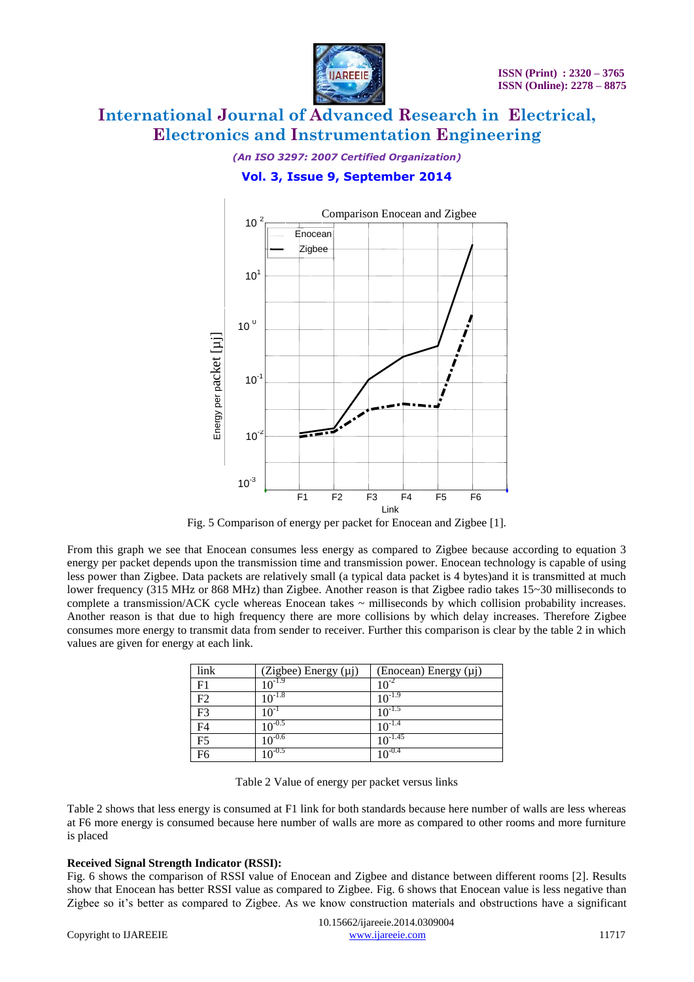![](_page_6_Picture_1.jpeg)

#### *(An ISO 3297: 2007 Certified Organization)*

### **Vol. 3, Issue 9, September 2014**

![](_page_6_Figure_5.jpeg)

Fig. 5 Comparison of energy per packet for Enocean and Zigbee [1].

From this graph we see that Enocean consumes less energy as compared to Zigbee because according to equation 3 energy per packet depends upon the transmission time and transmission power. Enocean technology is capable of using less power than Zigbee. Data packets are relatively small (a typical data packet is 4 bytes)and it is transmitted at much lower frequency (315 MHz or 868 MHz) than Zigbee. Another reason is that Zigbee radio takes 15~30 milliseconds to complete a transmission/ACK cycle whereas Enocean takes ~ milliseconds by which collision probability increases. Another reason is that due to high frequency there are more collisions by which delay increases. Therefore Zigbee consumes more energy to transmit data from sender to receiver. Further this comparison is clear by the table 2 in which values are given for energy at each link.

| link           | $\frac{(Zigbee)$ Energy (µj)<br>$10^{-1.9}$ | (Enocean) Energy (μj) |
|----------------|---------------------------------------------|-----------------------|
| F <sub>1</sub> |                                             | $10^{-2}$             |
| F2             | $10^{-1.8}$                                 | $10^{-1.9}$           |
| F <sub>3</sub> | $10^{-1}$                                   | $10^{-1.5}$           |
| F <sub>4</sub> | $10^{-0.5}$                                 | $10^{-1.4}$           |
| F <sub>5</sub> | $10^{-0.6}$                                 | $10^{-1.45}$          |
|                | $10^{-0.5}$                                 | 1 $0^{-0.4}$          |

Table 2 Value of energy per packet versus links

Table 2 shows that less energy is consumed at F1 link for both standards because here number of walls are less whereas at F6 more energy is consumed because here number of walls are more as compared to other rooms and more furniture is placed

#### **Received Signal Strength Indicator (RSSI):**

Fig. 6 shows the comparison of RSSI value of Enocean and Zigbee and distance between different rooms [2]. Results show that Enocean has better RSSI value as compared to Zigbee. Fig. 6 shows that Enocean value is less negative than Zigbee so it's better as compared to Zigbee. As we know construction materials and obstructions have a significant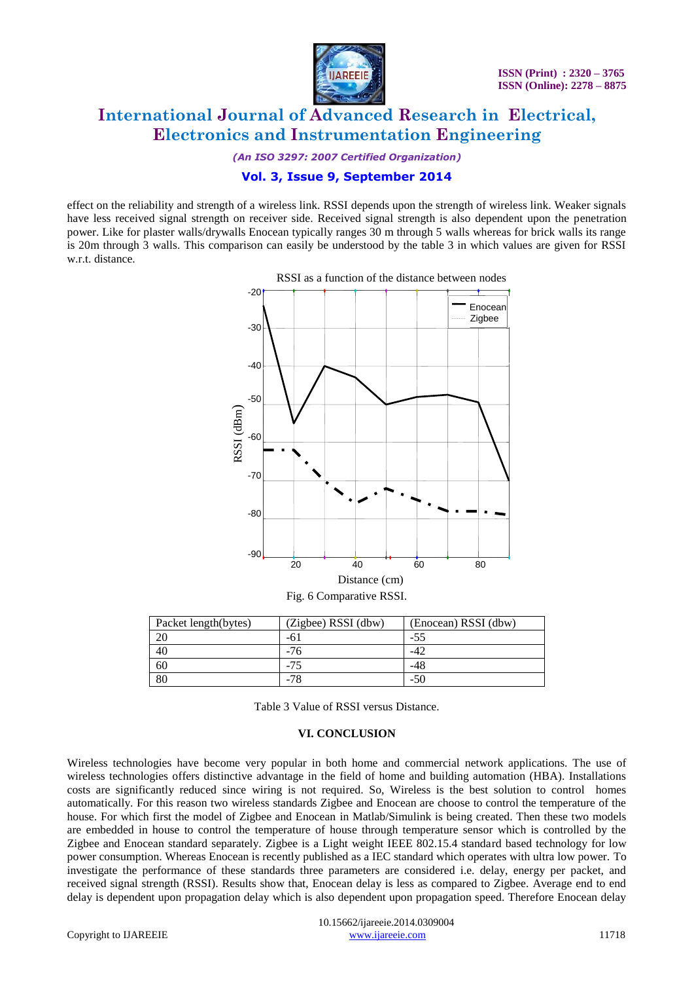![](_page_7_Picture_0.jpeg)

*(An ISO 3297: 2007 Certified Organization)*

### **Vol. 3, Issue 9, September 2014**

effect on the reliability and strength of a wireless link. RSSI depends upon the strength of wireless link. Weaker signals have less received signal strength on receiver side. Received signal strength is also dependent upon the penetration power. Like for plaster walls/drywalls Enocean typically ranges 30 m through 5 walls whereas for brick walls its range is 20m through 3 walls. This comparison can easily be understood by the table 3 in which values are given for RSSI w.r.t. distance.

![](_page_7_Figure_6.jpeg)

RSSI as a function of the distance between nodes

| Packet length(bytes) | (Zigbee) RSSI (dbw) | (Enocean) RSSI (dbw) |
|----------------------|---------------------|----------------------|
| 20                   | -61                 | -55                  |
| 40                   | -76                 |                      |
| 60                   | -75                 | -48                  |
| 80                   | -78                 | -50                  |

Table 3 Value of RSSI versus Distance.

#### **VI. CONCLUSION**

Wireless technologies have become very popular in both home and commercial network applications. The use of wireless technologies offers distinctive advantage in the field of home and building automation (HBA). Installations costs are significantly reduced since wiring is not required. So, Wireless is the best solution to control homes automatically. For this reason two wireless standards Zigbee and Enocean are choose to control the temperature of the house. For which first the model of Zigbee and Enocean in Matlab/Simulink is being created. Then these two models are embedded in house to control the temperature of house through temperature sensor which is controlled by the Zigbee and Enocean standard separately. Zigbee is a Light weight IEEE 802.15.4 standard based technology for low power consumption. Whereas Enocean is recently published as a IEC standard which operates with ultra low power. To investigate the performance of these standards three parameters are considered i.e. delay, energy per packet, and received signal strength (RSSI). Results show that, Enocean delay is less as compared to Zigbee. Average end to end delay is dependent upon propagation delay which is also dependent upon propagation speed. Therefore Enocean delay